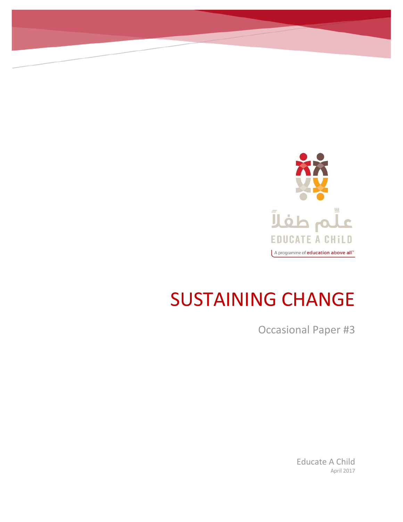

# SUSTAINING CHANGE

Occasional Paper #3

Educate A Child April 2017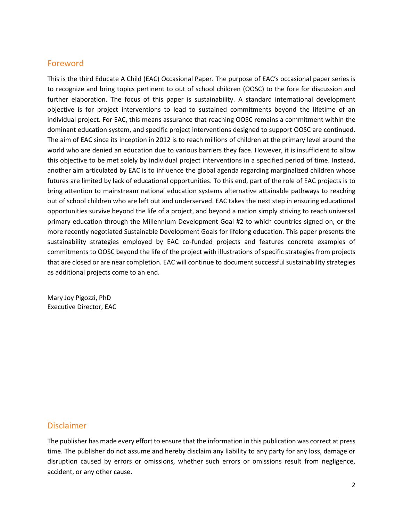## Foreword

This is the third Educate A Child (EAC) Occasional Paper. The purpose of EAC's occasional paper series is to recognize and bring topics pertinent to out of school children (OOSC) to the fore for discussion and further elaboration. The focus of this paper is sustainability. A standard international development objective is for project interventions to lead to sustained commitments beyond the lifetime of an individual project. For EAC, this means assurance that reaching OOSC remains a commitment within the dominant education system, and specific project interventions designed to support OOSC are continued. The aim of EAC since its inception in 2012 is to reach millions of children at the primary level around the world who are denied an education due to various barriers they face. However, it is insufficient to allow this objective to be met solely by individual project interventions in a specified period of time. Instead, another aim articulated by EAC is to influence the global agenda regarding marginalized children whose futures are limited by lack of educational opportunities. To this end, part of the role of EAC projects is to bring attention to mainstream national education systems alternative attainable pathways to reaching out of school children who are left out and underserved. EAC takes the next step in ensuring educational opportunities survive beyond the life of a project, and beyond a nation simply striving to reach universal primary education through the Millennium Development Goal #2 to which countries signed on, or the more recently negotiated Sustainable Development Goals for lifelong education. This paper presents the sustainability strategies employed by EAC co-funded projects and features concrete examples of commitments to OOSC beyond the life of the project with illustrations of specific strategies from projects that are closed or are near completion. EAC will continue to document successful sustainability strategies as additional projects come to an end.

Mary Joy Pigozzi, PhD Executive Director, EAC

## Disclaimer

The publisher has made every effort to ensure that the information in this publication was correct at press time. The publisher do not assume and hereby disclaim any liability to any party for any loss, damage or disruption caused by errors or omissions, whether such errors or omissions result from negligence, accident, or any other cause.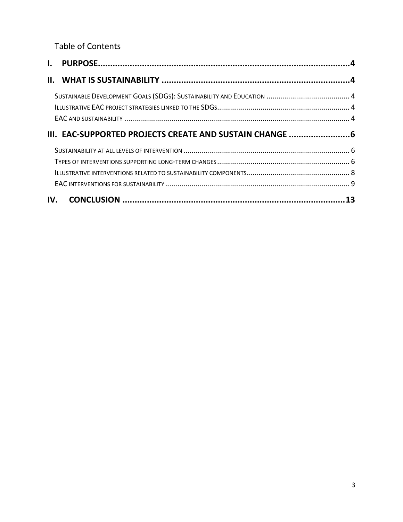Table of Contents

| III. EAC-SUPPORTED PROJECTS CREATE AND SUSTAIN CHANGE 6 |  |
|---------------------------------------------------------|--|
|                                                         |  |
|                                                         |  |
|                                                         |  |
|                                                         |  |
|                                                         |  |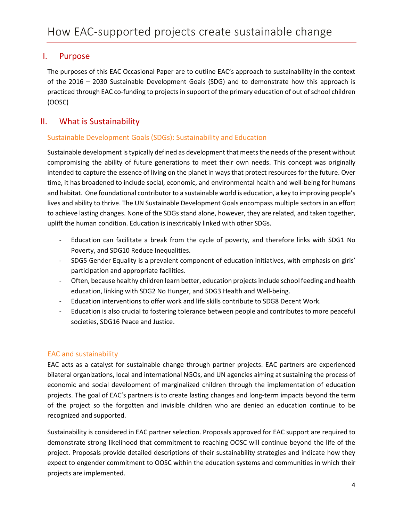## <span id="page-3-0"></span>I. Purpose

The purposes of this EAC Occasional Paper are to outline EAC's approach to sustainability in the context of the 2016 – 2030 Sustainable Development Goals (SDG) and to demonstrate how this approach is practiced through EAC co-funding to projects in support of the primary education of out of school children (OOSC)

## <span id="page-3-1"></span>II. What is Sustainability

#### <span id="page-3-2"></span>Sustainable Development Goals (SDGs): Sustainability and Education

Sustainable development istypically defined as development that meets the needs of the present without compromising the ability of future generations to meet their own needs. This concept was originally intended to capture the essence of living on the planet in ways that protect resources for the future. Over time, it has broadened to include social, economic, and environmental health and well-being for humans and habitat. One foundational contributor to a sustainable world is education, a key to improving people's lives and ability to thrive. The UN Sustainable Development Goals encompass multiple sectors in an effort to achieve lasting changes. None of the SDGs stand alone, however, they are related, and taken together, uplift the human condition. Education is inextricably linked with other SDGs.

- Education can facilitate a break from the cycle of poverty, and therefore links with SDG1 No Poverty, and SDG10 Reduce Inequalities.
- SDG5 Gender Equality is a prevalent component of education initiatives, with emphasis on girls' participation and appropriate facilities.
- Often, because healthy children learn better, education projects include school feeding and health education, linking with SDG2 No Hunger, and SDG3 Health and Well-being.
- Education interventions to offer work and life skills contribute to SDG8 Decent Work.
- Education is also crucial to fostering tolerance between people and contributes to more peaceful societies, SDG16 Peace and Justice.

#### <span id="page-3-3"></span>EAC and sustainability

EAC acts as a catalyst for sustainable change through partner projects. EAC partners are experienced bilateral organizations, local and international NGOs, and UN agencies aiming at sustaining the process of economic and social development of marginalized children through the implementation of education projects. The goal of EAC's partners is to create lasting changes and long-term impacts beyond the term of the project so the forgotten and invisible children who are denied an education continue to be recognized and supported.

Sustainability is considered in EAC partner selection. Proposals approved for EAC support are required to demonstrate strong likelihood that commitment to reaching OOSC will continue beyond the life of the project. Proposals provide detailed descriptions of their sustainability strategies and indicate how they expect to engender commitment to OOSC within the education systems and communities in which their projects are implemented.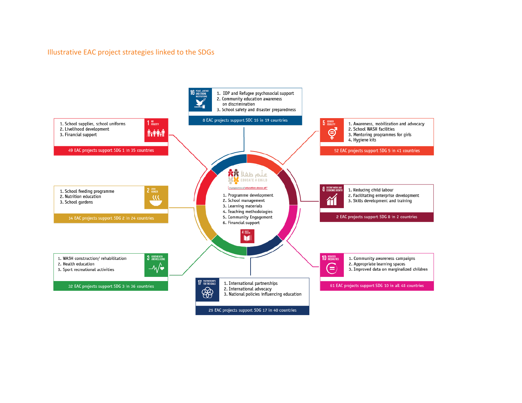#### Illustrative EAC project strategies linked to the SDGs

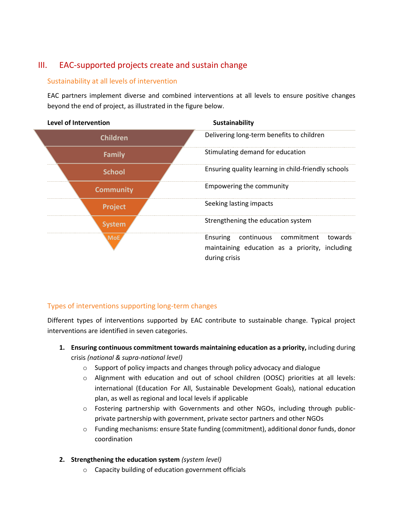# <span id="page-5-0"></span>III. EAC-supported projects create and sustain change

#### <span id="page-5-1"></span>Sustainability at all levels of intervention

EAC partners implement diverse and combined interventions at all levels to ensure positive changes beyond the end of project, as illustrated in the figure below.



## <span id="page-5-2"></span>Types of interventions supporting long-term changes

Different types of interventions supported by EAC contribute to sustainable change. Typical project interventions are identified in seven categories.

- **1. Ensuring continuous commitment towards maintaining education as a priority,** including during crisis *(national & supra-national level)*
	- o Support of policy impacts and changes through policy advocacy and dialogue
	- o Alignment with education and out of school children (OOSC) priorities at all levels: international (Education For All, Sustainable Development Goals), national education plan, as well as regional and local levels if applicable
	- o Fostering partnership with Governments and other NGOs, including through publicprivate partnership with government, private sector partners and other NGOs
	- o Funding mechanisms: ensure State funding (commitment), additional donor funds, donor coordination

#### **2. Strengthening the education system** *(system level)*

o Capacity building of education government officials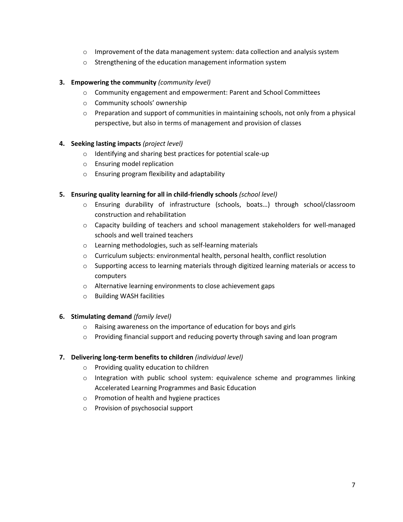- $\circ$  Improvement of the data management system: data collection and analysis system
- o Strengthening of the education management information system

#### **3. Empowering the community** *(community level)*

- o Community engagement and empowerment: Parent and School Committees
- o Community schools' ownership
- $\circ$  Preparation and support of communities in maintaining schools, not only from a physical perspective, but also in terms of management and provision of classes

#### **4. Seeking lasting impacts** *(project level)*

- o Identifying and sharing best practices for potential scale-up
- o Ensuring model replication
- o Ensuring program flexibility and adaptability

#### **5. Ensuring quality learning for all in child-friendly schools** *(school level)*

- o Ensuring durability of infrastructure (schools, boats…) through school/classroom construction and rehabilitation
- o Capacity building of teachers and school management stakeholders for well-managed schools and well trained teachers
- o Learning methodologies, such as self-learning materials
- o Curriculum subjects: environmental health, personal health, conflict resolution
- $\circ$  Supporting access to learning materials through digitized learning materials or access to computers
- o Alternative learning environments to close achievement gaps
- o Building WASH facilities

#### **6. Stimulating demand** *(family level)*

- o Raising awareness on the importance of education for boys and girls
- o Providing financial support and reducing poverty through saving and loan program

#### **7. Delivering long-term benefits to children** *(individual level)*

- o Providing quality education to children
- $\circ$  Integration with public school system: equivalence scheme and programmes linking Accelerated Learning Programmes and Basic Education
- o Promotion of health and hygiene practices
- o Provision of psychosocial support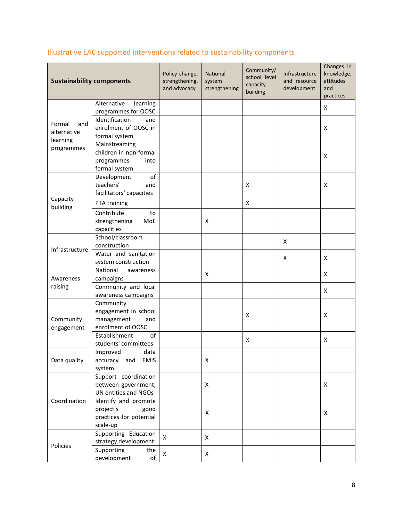| <b>Sustainability components</b>         |                                                                                  | Policy change,<br>strengthening,<br>and advocacy | National<br>system<br>strengthening | Community/<br>school level<br>capacity<br>building | Infrastructure<br>and resource<br>development | Changes in<br>knowledge,<br>attitudes<br>and<br>practices |
|------------------------------------------|----------------------------------------------------------------------------------|--------------------------------------------------|-------------------------------------|----------------------------------------------------|-----------------------------------------------|-----------------------------------------------------------|
|                                          | Alternative<br>learning<br>programmes for OOSC                                   |                                                  |                                     |                                                    |                                               | X                                                         |
| Formal<br>and<br>alternative<br>learning | Identification<br>and<br>enrolment of OOSC in<br>formal system                   |                                                  |                                     |                                                    |                                               | X                                                         |
| programmes                               | Mainstreaming<br>children in non-formal<br>programmes<br>into<br>formal system   |                                                  |                                     |                                                    |                                               | X                                                         |
|                                          | of<br>Development<br>teachers'<br>and<br>facilitators' capacities                |                                                  |                                     | X                                                  |                                               | X                                                         |
| Capacity<br>building                     | PTA training                                                                     |                                                  |                                     | $\pmb{\mathsf{X}}$                                 |                                               |                                                           |
|                                          | Contribute<br>to<br>strengthening<br>MoE<br>capacities                           |                                                  | X                                   |                                                    |                                               |                                                           |
|                                          | School/classroom<br>construction                                                 |                                                  |                                     |                                                    | X                                             |                                                           |
| Infrastructure                           | Water and sanitation<br>system construction                                      |                                                  |                                     |                                                    | X                                             | X                                                         |
| Awareness                                | National<br>awareness<br>campaigns                                               |                                                  | X                                   |                                                    |                                               | X                                                         |
| raising                                  | Community and local<br>awareness campaigns                                       |                                                  |                                     |                                                    |                                               | X                                                         |
| Community<br>engagement                  | Community<br>engagement in school<br>management<br>and<br>enrolment of OOSC      |                                                  |                                     | X                                                  |                                               | X                                                         |
|                                          | Establishment<br>of<br>students' committees                                      |                                                  |                                     | X                                                  |                                               | X                                                         |
| Data quality                             | Improved<br>data<br>accuracy<br>and EMIS<br>system                               |                                                  | X                                   |                                                    |                                               |                                                           |
|                                          | Support coordination<br>between government,<br>UN entities and NGOs              |                                                  | X                                   |                                                    |                                               | X                                                         |
| Coordination                             | Identify and promote<br>project's<br>good<br>practices for potential<br>scale-up |                                                  | X                                   |                                                    |                                               | X                                                         |
| Policies                                 | Supporting Education<br>strategy development                                     | X                                                | X                                   |                                                    |                                               |                                                           |
|                                          | Supporting<br>the<br>development<br>of                                           | X                                                | X                                   |                                                    |                                               |                                                           |

# <span id="page-7-0"></span>Illustrative EAC supported interventions related to sustainability components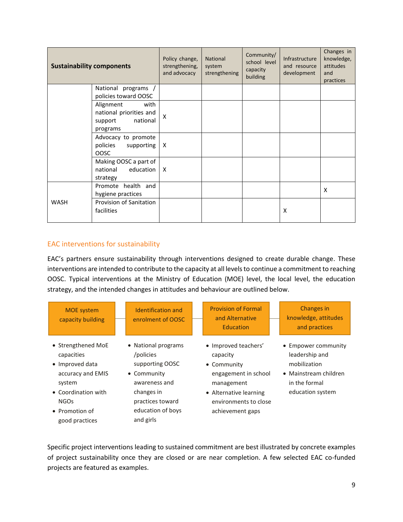| <b>Sustainability components</b> |                                                                                                         | Policy change,<br>strengthening,<br>and advocacy | <b>National</b><br>system<br>strengthening | Community/<br>school level<br>capacity<br>building | Infrastructure<br>and resource<br>development | Changes in<br>knowledge,<br>attitudes<br>and<br>practices |
|----------------------------------|---------------------------------------------------------------------------------------------------------|--------------------------------------------------|--------------------------------------------|----------------------------------------------------|-----------------------------------------------|-----------------------------------------------------------|
|                                  | National programs /                                                                                     |                                                  |                                            |                                                    |                                               |                                                           |
|                                  | policies toward OOSC<br>Alignment<br>with<br>national priorities and<br>support<br>national<br>programs | X                                                |                                            |                                                    |                                               |                                                           |
|                                  | Advocacy to promote<br>policies<br>supporting<br><b>OOSC</b>                                            | X                                                |                                            |                                                    |                                               |                                                           |
|                                  | Making OOSC a part of<br>national<br>education<br>strategy                                              | X                                                |                                            |                                                    |                                               |                                                           |
|                                  | Promote health and<br>hygiene practices                                                                 |                                                  |                                            |                                                    |                                               | X                                                         |
| <b>WASH</b>                      | Provision of Sanitation<br>facilities                                                                   |                                                  |                                            |                                                    | X                                             |                                                           |

#### <span id="page-8-0"></span>EAC interventions for sustainability

EAC's partners ensure sustainability through interventions designed to create durable change. These interventions are intended to contribute to the capacity at all levels to continue a commitment to reaching OOSC. Typical interventions at the Ministry of Education (MOE) level, the local level, the education strategy, and the intended changes in attitudes and behaviour are outlined below.

| <b>MOE</b> system<br>capacity building                                                                                                                       | Identification and<br>enrolment of OOSC                                                                                                                 | <b>Provision of Formal</b><br>and Alternative<br>Education                                                                                                   | <b>Changes</b> in<br>knowledge, attitudes<br>and practices                                                          |
|--------------------------------------------------------------------------------------------------------------------------------------------------------------|---------------------------------------------------------------------------------------------------------------------------------------------------------|--------------------------------------------------------------------------------------------------------------------------------------------------------------|---------------------------------------------------------------------------------------------------------------------|
| • Strengthened MoE<br>capacities<br>• Improved data<br>accuracy and EMIS<br>system<br>• Coordination with<br><b>NGOs</b><br>• Promotion of<br>good practices | • National programs<br>/policies<br>supporting OOSC<br>• Community<br>awareness and<br>changes in<br>practices toward<br>education of boys<br>and girls | • Improved teachers'<br>capacity<br>• Community<br>engagement in school<br>management<br>• Alternative learning<br>environments to close<br>achievement gaps | • Empower community<br>leadership and<br>mobilization<br>• Mainstream children<br>in the formal<br>education system |

Specific project interventions leading to sustained commitment are best illustrated by concrete examples of project sustainability once they are closed or are near completion. A few selected EAC co-funded projects are featured as examples.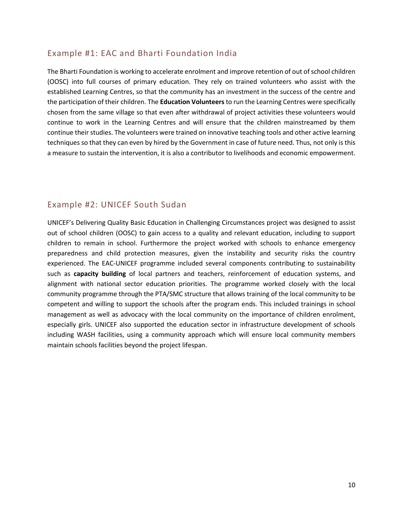# Example #1: EAC and Bharti Foundation India

The Bharti Foundation is working to accelerate enrolment and improve retention of out of school children (OOSC) into full courses of primary education. They rely on trained volunteers who assist with the established Learning Centres, so that the community has an investment in the success of the centre and the participation of their children. The **Education Volunteers** to run the Learning Centres were specifically chosen from the same village so that even after withdrawal of project activities these volunteers would continue to work in the Learning Centres and will ensure that the children mainstreamed by them continue their studies. The volunteers were trained on innovative teaching tools and other active learning techniques so that they can even by hired by the Government in case of future need. Thus, not only is this a measure to sustain the intervention, it is also a contributor to livelihoods and economic empowerment.

## Example #2: UNICEF South Sudan

UNICEF's Delivering Quality Basic Education in Challenging Circumstances project was designed to assist out of school children (OOSC) to gain access to a quality and relevant education, including to support children to remain in school. Furthermore the project worked with schools to enhance emergency preparedness and child protection measures, given the instability and security risks the country experienced. The EAC-UNICEF programme included several components contributing to sustainability such as **capacity building** of local partners and teachers, reinforcement of education systems, and alignment with national sector education priorities. The programme worked closely with the local community programme through the PTA/SMC structure that allows training of the local community to be competent and willing to support the schools after the program ends. This included trainings in school management as well as advocacy with the local community on the importance of children enrolment, especially girls. UNICEF also supported the education sector in infrastructure development of schools including WASH facilities, using a community approach which will ensure local community members maintain schools facilities beyond the project lifespan.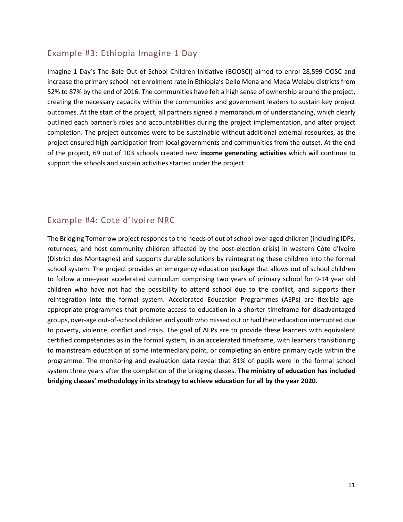## Example #3: Ethiopia Imagine 1 Day

Imagine 1 Day's The Bale Out of School Children Initiative (BOOSCI) aimed to enrol 28,599 OOSC and increase the primary school net enrolment rate in Ethiopia's Dello Mena and Meda Welabu districts from 52% to 87% by the end of 2016. The communities have felt a high sense of ownership around the project, creating the necessary capacity within the communities and government leaders to sustain key project outcomes. At the start of the project, all partners signed a memorandum of understanding, which clearly outlined each partner's roles and accountabilities during the project implementation, and after project completion. The project outcomes were to be sustainable without additional external resources, as the project ensured high participation from local governments and communities from the outset. At the end of the project, 69 out of 103 schools created new **income generating activities** which will continue to support the schools and sustain activities started under the project.

# Example #4: Cote d'Ivoire NRC

The Bridging Tomorrow project responds to the needs of out of school over aged children (including IDPs, returnees, and host community children affected by the post-election crisis) in western Côte d'Ivoire (District des Montagnes) and supports durable solutions by reintegrating these children into the formal school system. The project provides an emergency education package that allows out of school children to follow a one-year accelerated curriculum comprising two years of primary school for 9-14 year old children who have not had the possibility to attend school due to the conflict, and supports their reintegration into the formal system. Accelerated Education Programmes (AEPs) are flexible ageappropriate programmes that promote access to education in a shorter timeframe for disadvantaged groups, over-age out-of-school children and youth who missed out or had their education interrupted due to poverty, violence, conflict and crisis. The goal of AEPs are to provide these learners with equivalent certified competencies as in the formal system, in an accelerated timeframe, with learners transitioning to mainstream education at some intermediary point, or completing an entire primary cycle within the programme. The monitoring and evaluation data reveal that 81% of pupils were in the formal school system three years after the completion of the bridging classes. **The ministry of education has included bridging classes' methodology in its strategy to achieve education for all by the year 2020.**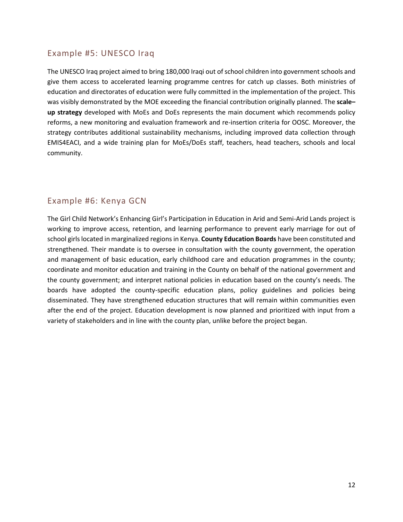# Example #5: UNESCO Iraq

The UNESCO Iraq project aimed to bring 180,000 Iraqi out of school children into government schools and give them access to accelerated learning programme centres for catch up classes. Both ministries of education and directorates of education were fully committed in the implementation of the project. This was visibly demonstrated by the MOE exceeding the financial contribution originally planned. The **scale– up strategy** developed with MoEs and DoEs represents the main document which recommends policy reforms, a new monitoring and evaluation framework and re-insertion criteria for OOSC. Moreover, the strategy contributes additional sustainability mechanisms, including improved data collection through EMIS4EACI, and a wide training plan for MoEs/DoEs staff, teachers, head teachers, schools and local community.

# Example #6: Kenya GCN

The Girl Child Network's Enhancing Girl's Participation in Education in Arid and Semi-Arid Lands project is working to improve access, retention, and learning performance to prevent early marriage for out of school girls located in marginalized regions in Kenya. **County Education Boards** have been constituted and strengthened. Their mandate is to oversee in consultation with the county government, the operation and management of basic education, early childhood care and education programmes in the county; coordinate and monitor education and training in the County on behalf of the national government and the county government; and interpret national policies in education based on the county's needs. The boards have adopted the county-specific education plans, policy guidelines and policies being disseminated. They have strengthened education structures that will remain within communities even after the end of the project. Education development is now planned and prioritized with input from a variety of stakeholders and in line with the county plan, unlike before the project began.